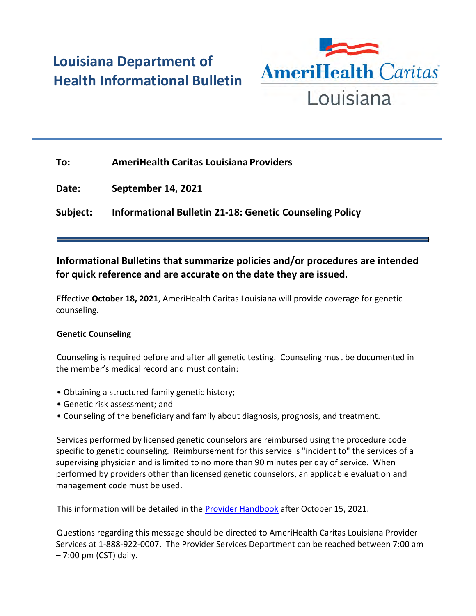## **Louisiana Department of Health Informational Bulletin**



| To:      | <b>AmeriHealth Caritas Louisiana Providers</b>                 |
|----------|----------------------------------------------------------------|
| Date:    | <b>September 14, 2021</b>                                      |
| Subject: | <b>Informational Bulletin 21-18: Genetic Counseling Policy</b> |

## **Informational Bulletins that summarize policies and/or procedures are intended for quick reference and are accurate on the date they are issued.**

Effective **October 18, 2021**, AmeriHealth Caritas Louisiana will provide coverage for genetic counseling.

## **Genetic Counseling**

Counseling is required before and after all genetic testing. Counseling must be documented in the member's medical record and must contain:

- Obtaining a structured family genetic history;
- Genetic risk assessment; and
- Counseling of the beneficiary and family about diagnosis, prognosis, and treatment.

Services performed by licensed genetic counselors are reimbursed using the procedure code specific to genetic counseling. Reimbursement for this service is "incident to" the services of a supervising physician and is limited to no more than 90 minutes per day of service. When performed by providers other than licensed genetic counselors, an applicable evaluation and management code must be used.

This information will be detailed in the **Provider Handbook** after October 15, 2021.

Questions regarding this message should be directed to AmeriHealth Caritas Louisiana Provider Services at 1-888-922-0007. The Provider Services Department can be reached between 7:00 am – 7:00 pm (CST) daily.